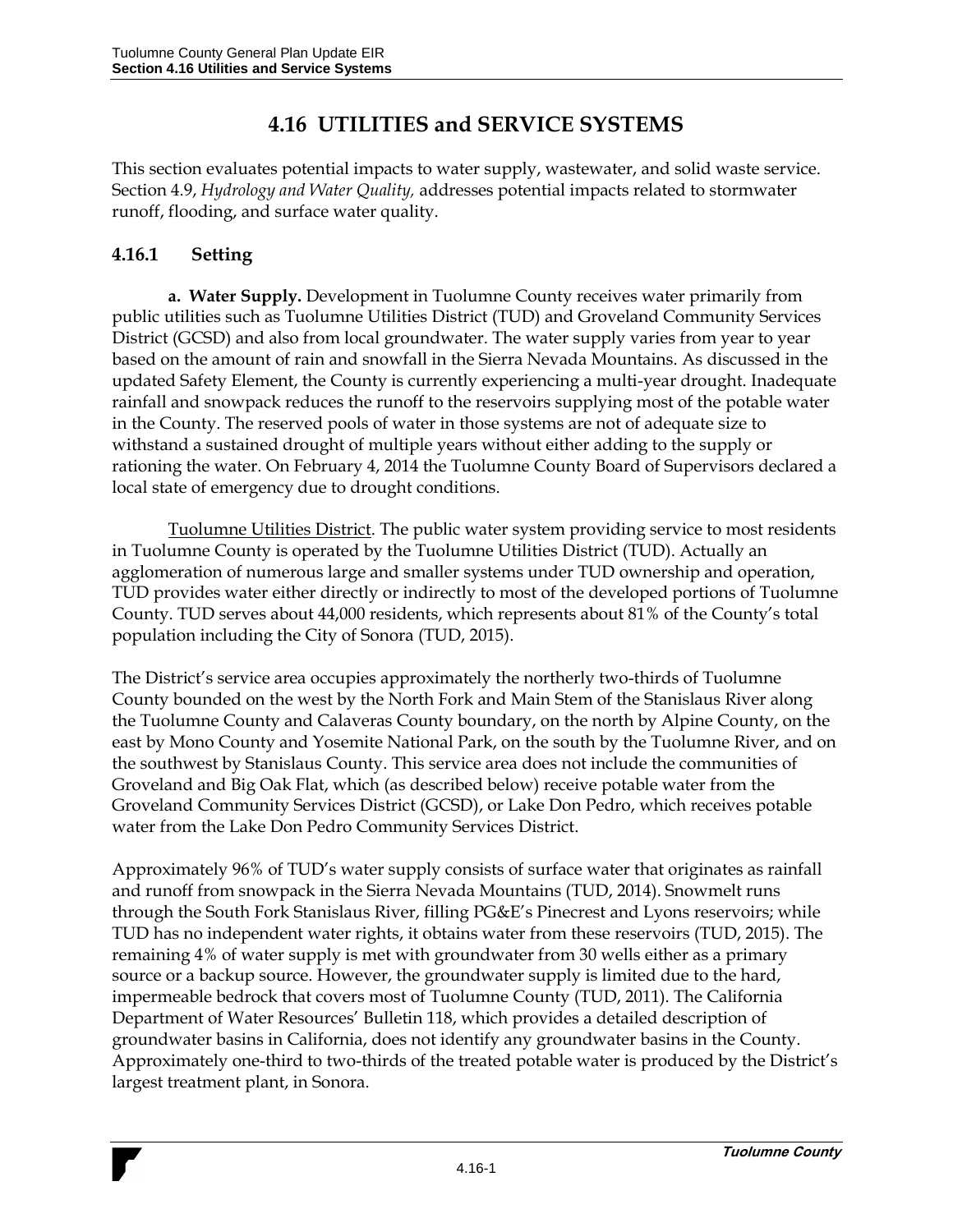# **4.16 UTILITIES and SERVICE SYSTEMS**

This section evaluates potential impacts to water supply, wastewater, and solid waste service. Section 4.9, *Hydrology and Water Quality,* addresses potential impacts related to stormwater runoff, flooding, and surface water quality.

## **4.16.1 Setting**

**a. Water Supply.** Development in Tuolumne County receives water primarily from public utilities such as Tuolumne Utilities District (TUD) and Groveland Community Services District (GCSD) and also from local groundwater. The water supply varies from year to year based on the amount of rain and snowfall in the Sierra Nevada Mountains. As discussed in the updated Safety Element, the County is currently experiencing a multi-year drought. Inadequate rainfall and snowpack reduces the runoff to the reservoirs supplying most of the potable water in the County. The reserved pools of water in those systems are not of adequate size to withstand a sustained drought of multiple years without either adding to the supply or rationing the water. On February 4, 2014 the Tuolumne County Board of Supervisors declared a local state of emergency due to drought conditions.

Tuolumne Utilities District. The public water system providing service to most residents in Tuolumne County is operated by the Tuolumne Utilities District (TUD). Actually an agglomeration of numerous large and smaller systems under TUD ownership and operation, TUD provides water either directly or indirectly to most of the developed portions of Tuolumne County. TUD serves about 44,000 residents, which represents about 81% of the County's total population including the City of Sonora (TUD, 2015).

The District's service area occupies approximately the northerly two-thirds of Tuolumne County bounded on the west by the North Fork and Main Stem of the Stanislaus River along the Tuolumne County and Calaveras County boundary, on the north by Alpine County, on the east by Mono County and Yosemite National Park, on the south by the Tuolumne River, and on the southwest by Stanislaus County. This service area does not include the communities of Groveland and Big Oak Flat, which (as described below) receive potable water from the Groveland Community Services District (GCSD), or Lake Don Pedro, which receives potable water from the Lake Don Pedro Community Services District.

Approximately 96% of TUD's water supply consists of surface water that originates as rainfall and runoff from snowpack in the Sierra Nevada Mountains (TUD, 2014). Snowmelt runs through the South Fork Stanislaus River, filling PG&E's Pinecrest and Lyons reservoirs; while TUD has no independent water rights, it obtains water from these reservoirs (TUD, 2015). The remaining 4% of water supply is met with groundwater from 30 wells either as a primary source or a backup source. However, the groundwater supply is limited due to the hard, impermeable bedrock that covers most of Tuolumne County (TUD, 2011). The California Department of Water Resources' Bulletin 118, which provides a detailed description of groundwater basins in California, does not identify any groundwater basins in the County. Approximately one-third to two-thirds of the treated potable water is produced by the District's largest treatment plant, in Sonora.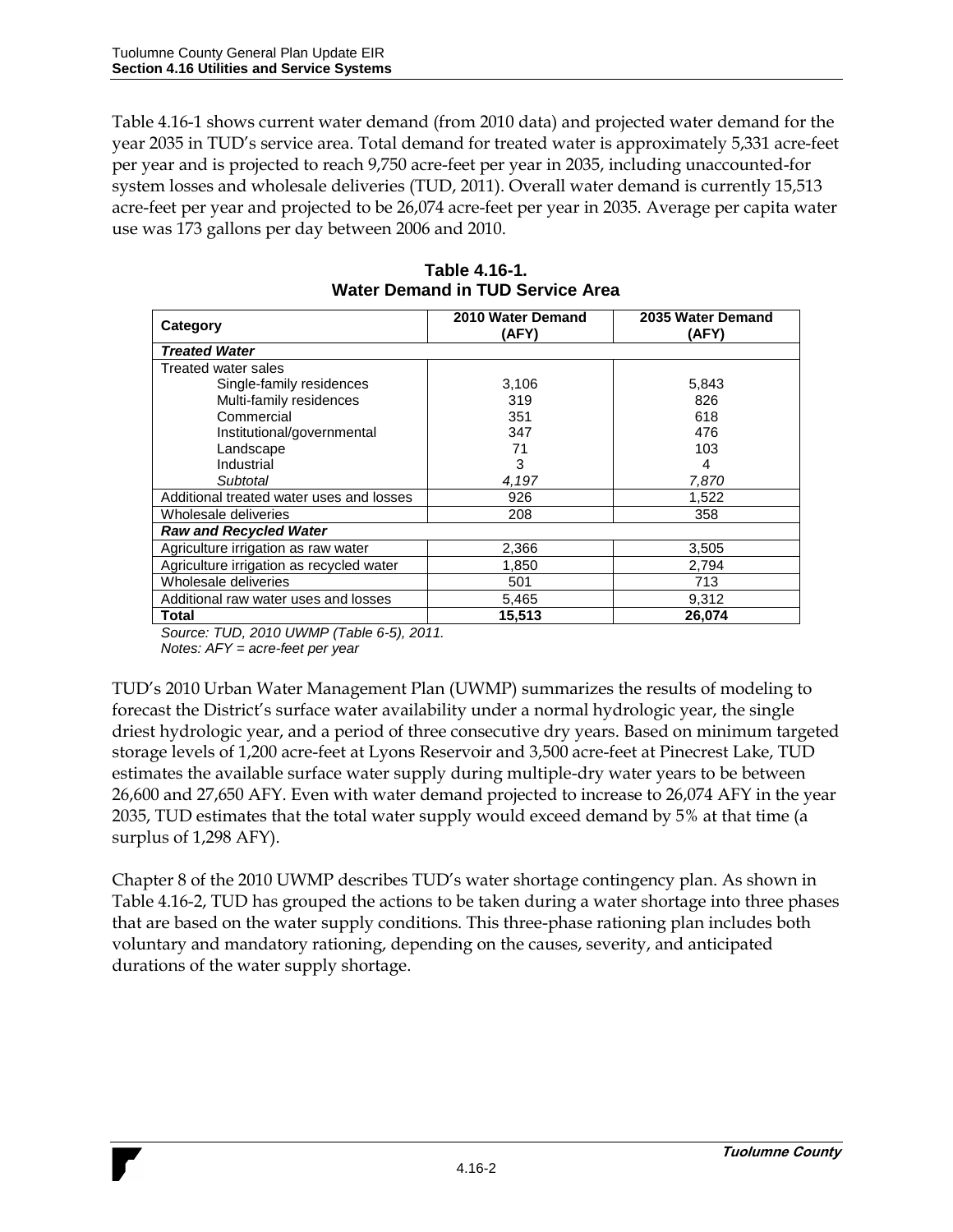Table 4.16-1 shows current water demand (from 2010 data) and projected water demand for the year 2035 in TUD's service area. Total demand for treated water is approximately 5,331 acre-feet per year and is projected to reach 9,750 acre-feet per year in 2035, including unaccounted-for system losses and wholesale deliveries (TUD, 2011). Overall water demand is currently 15,513 acre-feet per year and projected to be 26,074 acre-feet per year in 2035. Average per capita water use was 173 gallons per day between 2006 and 2010.

| Category                                 | 2010 Water Demand<br>'AFY) | 2035 Water Demand<br>(AFY) |
|------------------------------------------|----------------------------|----------------------------|
| <b>Treated Water</b>                     |                            |                            |
| Treated water sales                      |                            |                            |
| Single-family residences                 | 3,106                      | 5,843                      |
| Multi-family residences                  | 319                        | 826                        |
| Commercial                               | 351                        | 618                        |
| Institutional/governmental               | 347                        | 476                        |
| Landscape                                | 71                         | 103                        |
| Industrial                               | 3                          | 4                          |
| Subtotal                                 | 4,197                      | 7,870                      |
| Additional treated water uses and losses | 926                        | 1,522                      |
| Wholesale deliveries                     | 208                        | 358                        |
| <b>Raw and Recycled Water</b>            |                            |                            |
| Agriculture irrigation as raw water      | 2,366                      | 3,505                      |
| Agriculture irrigation as recycled water | 1,850                      | 2,794                      |
| Wholesale deliveries                     | 501                        | 713                        |
| Additional raw water uses and losses     | 5,465                      | 9,312                      |
| Total                                    | 15.513                     | 26.074                     |

## **Table 4.16-1. Water Demand in TUD Service Area**

*Source: TUD, 2010 UWMP (Table 6-5), 2011. Notes: AFY = acre-feet per year*

TUD's 2010 Urban Water Management Plan (UWMP) summarizes the results of modeling to forecast the District's surface water availability under a normal hydrologic year, the single

driest hydrologic year, and a period of three consecutive dry years. Based on minimum targeted storage levels of 1,200 acre-feet at Lyons Reservoir and 3,500 acre-feet at Pinecrest Lake, TUD estimates the available surface water supply during multiple-dry water years to be between 26,600 and 27,650 AFY. Even with water demand projected to increase to 26,074 AFY in the year 2035, TUD estimates that the total water supply would exceed demand by 5% at that time (a surplus of 1,298 AFY).

Chapter 8 of the 2010 UWMP describes TUD's water shortage contingency plan. As shown in Table 4.16-2, TUD has grouped the actions to be taken during a water shortage into three phases that are based on the water supply conditions. This three-phase rationing plan includes both voluntary and mandatory rationing, depending on the causes, severity, and anticipated durations of the water supply shortage.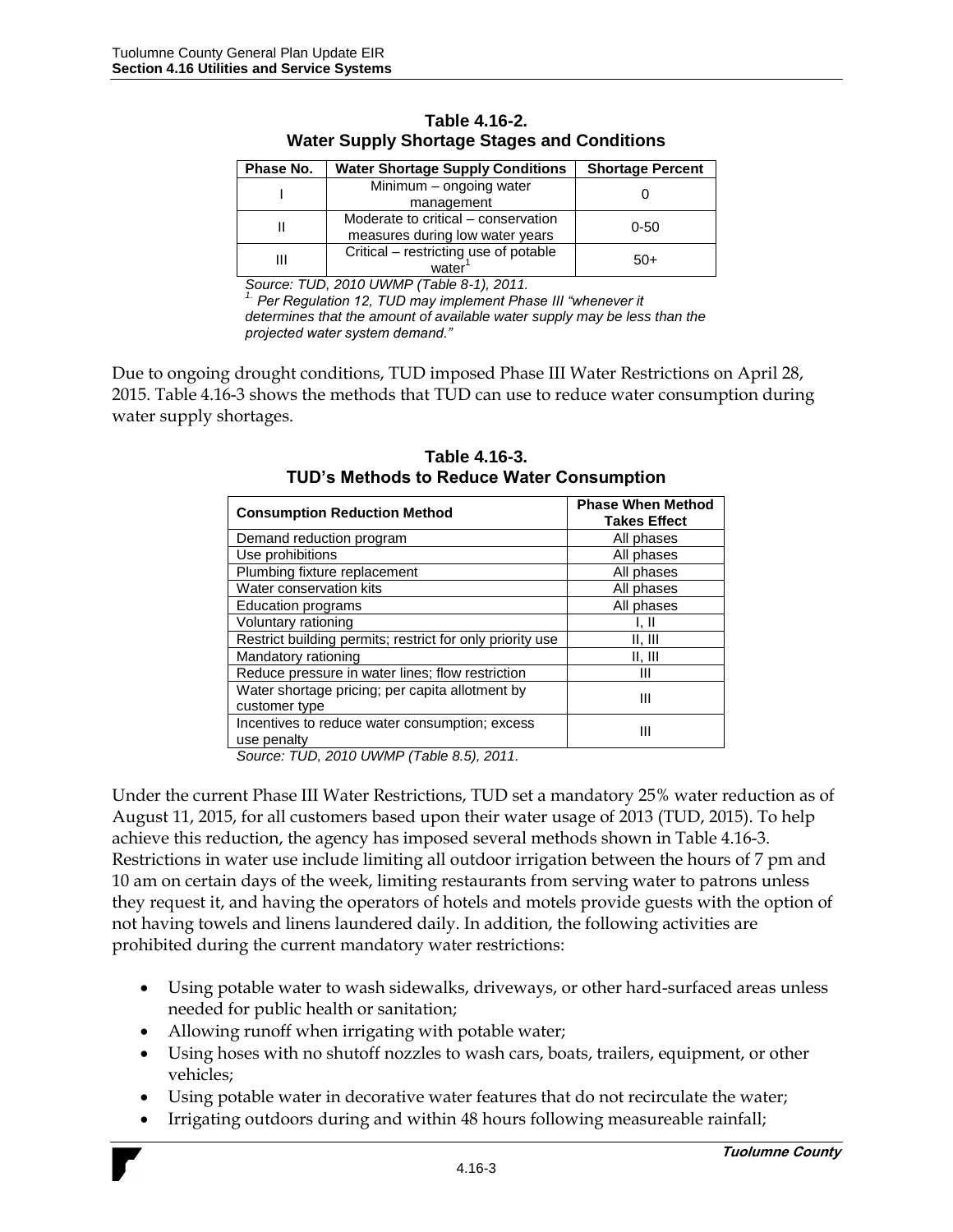| Phase No. | <b>Water Shortage Supply Conditions</b>                                | <b>Shortage Percent</b> |
|-----------|------------------------------------------------------------------------|-------------------------|
|           | Minimum - ongoing water<br>management                                  |                         |
|           | Moderate to critical – conservation<br>measures during low water years | $0 - 50$                |
| Ш         | Critical - restricting use of potable<br>water                         | $50+$                   |

#### **Table 4.16-2. Water Supply Shortage Stages and Conditions**

*Source: TUD, 2010 UWMP (Table 8-1), 2011.*

*1. Per Regulation 12, TUD may implement Phase III "whenever it determines that the amount of available water supply may be less than the projected water system demand."*

Due to ongoing drought conditions, TUD imposed Phase III Water Restrictions on April 28, 2015. Table 4.16-3 shows the methods that TUD can use to reduce water consumption during water supply shortages.

| <b>Consumption Reduction Method</b>                       | <b>Phase When Method</b><br><b>Takes Effect</b> |
|-----------------------------------------------------------|-------------------------------------------------|
| Demand reduction program                                  | All phases                                      |
| Use prohibitions                                          | All phases                                      |
| Plumbing fixture replacement                              | All phases                                      |
| Water conservation kits                                   | All phases                                      |
| <b>Education programs</b>                                 | All phases                                      |
| Voluntary rationing                                       | I, II                                           |
| Restrict building permits; restrict for only priority use | II, III                                         |
| Mandatory rationing                                       | II, III                                         |
| Reduce pressure in water lines; flow restriction          | Ш                                               |
| Water shortage pricing; per capita allotment by           | Ш                                               |
| customer type                                             |                                                 |
| Incentives to reduce water consumption; excess            | Ш                                               |
| use penalty                                               |                                                 |

**Table 4.16-3. TUD's Methods to Reduce Water Consumption**

*Source: TUD, 2010 UWMP (Table 8.5), 2011.*

Under the current Phase III Water Restrictions, TUD set a mandatory 25% water reduction as of August 11, 2015, for all customers based upon their water usage of 2013 (TUD, 2015). To help achieve this reduction, the agency has imposed several methods shown in Table 4.16-3. Restrictions in water use include limiting all outdoor irrigation between the hours of 7 pm and 10 am on certain days of the week, limiting restaurants from serving water to patrons unless they request it, and having the operators of hotels and motels provide guests with the option of not having towels and linens laundered daily. In addition, the following activities are prohibited during the current mandatory water restrictions:

- Using potable water to wash sidewalks, driveways, or other hard-surfaced areas unless needed for public health or sanitation;
- Allowing runoff when irrigating with potable water;
- Using hoses with no shutoff nozzles to wash cars, boats, trailers, equipment, or other vehicles;
- Using potable water in decorative water features that do not recirculate the water;
- Irrigating outdoors during and within 48 hours following measureable rainfall;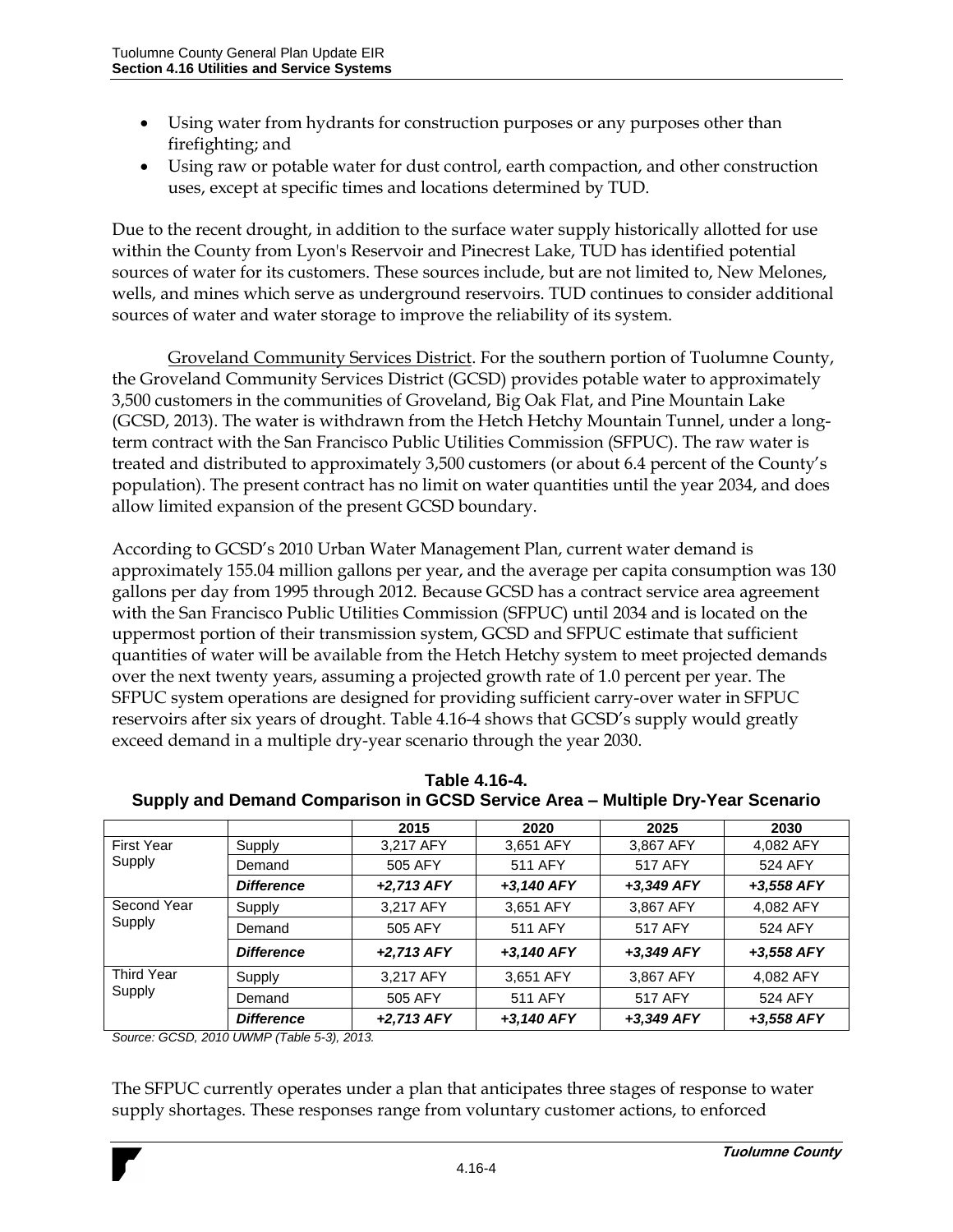- Using water from hydrants for construction purposes or any purposes other than firefighting; and
- Using raw or potable water for dust control, earth compaction, and other construction uses, except at specific times and locations determined by TUD.

Due to the recent drought, in addition to the surface water supply historically allotted for use within the County from Lyon's Reservoir and Pinecrest Lake, TUD has identified potential sources of water for its customers. These sources include, but are not limited to, New Melones, wells, and mines which serve as underground reservoirs. TUD continues to consider additional sources of water and water storage to improve the reliability of its system.

Groveland Community Services District. For the southern portion of Tuolumne County, the Groveland Community Services District (GCSD) provides potable water to approximately 3,500 customers in the communities of Groveland, Big Oak Flat, and Pine Mountain Lake (GCSD, 2013). The water is withdrawn from the Hetch Hetchy Mountain Tunnel, under a longterm contract with the San Francisco Public Utilities Commission (SFPUC). The raw water is treated and distributed to approximately 3,500 customers (or about 6.4 percent of the County's population). The present contract has no limit on water quantities until the year 2034, and does allow limited expansion of the present GCSD boundary.

According to GCSD's 2010 Urban Water Management Plan, current water demand is approximately 155.04 million gallons per year, and the average per capita consumption was 130 gallons per day from 1995 through 2012. Because GCSD has a contract service area agreement with the San Francisco Public Utilities Commission (SFPUC) until 2034 and is located on the uppermost portion of their transmission system, GCSD and SFPUC estimate that sufficient quantities of water will be available from the Hetch Hetchy system to meet projected demands over the next twenty years, assuming a projected growth rate of 1.0 percent per year. The SFPUC system operations are designed for providing sufficient carry-over water in SFPUC reservoirs after six years of drought. Table 4.16-4 shows that GCSD's supply would greatly exceed demand in a multiple dry-year scenario through the year 2030.

|                             |                   | 2015       | 2020       | 2025       | 2030       |
|-----------------------------|-------------------|------------|------------|------------|------------|
| <b>First Year</b>           | Supply            | 3,217 AFY  | 3,651 AFY  | 3,867 AFY  | 4,082 AFY  |
| Supply                      | Demand            | 505 AFY    | 511 AFY    | 517 AFY    | 524 AFY    |
|                             | <b>Difference</b> | +2,713 AFY | +3,140 AFY | +3,349 AFY | +3,558 AFY |
| Second Year<br>Supply       | Supply            | 3,217 AFY  | 3,651 AFY  | 3,867 AFY  | 4,082 AFY  |
|                             | Demand            | 505 AFY    | 511 AFY    | 517 AFY    | 524 AFY    |
|                             | <b>Difference</b> | +2,713 AFY | +3,140 AFY | +3,349 AFY | +3,558 AFY |
| <b>Third Year</b><br>Supply | Supply            | 3,217 AFY  | 3,651 AFY  | 3,867 AFY  | 4,082 AFY  |
|                             | Demand            | 505 AFY    | 511 AFY    | 517 AFY    | 524 AFY    |
|                             | <b>Difference</b> | +2,713 AFY | +3,140 AFY | +3,349 AFY | +3,558 AFY |

**Table 4.16-4. Supply and Demand Comparison in GCSD Service Area – Multiple Dry-Year Scenario**

*Source: GCSD, 2010 UWMP (Table 5-3), 2013.*

The SFPUC currently operates under a plan that anticipates three stages of response to water supply shortages. These responses range from voluntary customer actions, to enforced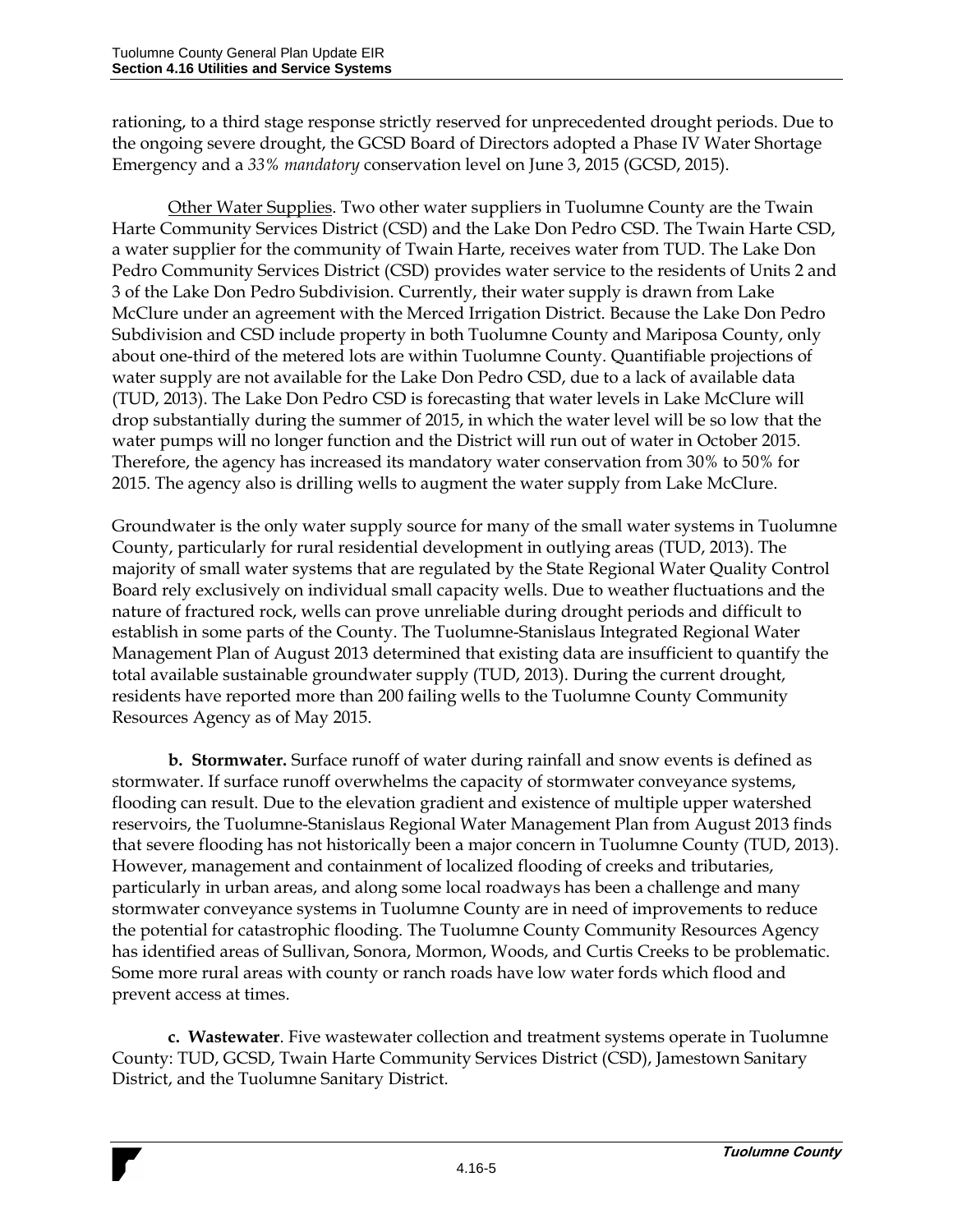rationing, to a third stage response strictly reserved for unprecedented drought periods. Due to the ongoing severe drought, the GCSD Board of Directors adopted a Phase IV Water Shortage Emergency and a *33% mandatory* conservation level on June 3, 2015 (GCSD, 2015).

Other Water Supplies. Two other water suppliers in Tuolumne County are the Twain Harte Community Services District (CSD) and the Lake Don Pedro CSD. The Twain Harte CSD, a water supplier for the community of Twain Harte, receives water from TUD. The Lake Don Pedro Community Services District (CSD) provides water service to the residents of Units 2 and 3 of the Lake Don Pedro Subdivision. Currently, their water supply is drawn from Lake McClure under an agreement with the Merced Irrigation District. Because the Lake Don Pedro Subdivision and CSD include property in both Tuolumne County and Mariposa County, only about one-third of the metered lots are within Tuolumne County. Quantifiable projections of water supply are not available for the Lake Don Pedro CSD, due to a lack of available data (TUD, 2013). The Lake Don Pedro CSD is forecasting that water levels in Lake McClure will drop substantially during the summer of 2015, in which the water level will be so low that the water pumps will no longer function and the District will run out of water in October 2015. Therefore, the agency has increased its mandatory water conservation from 30% to 50% for 2015. The agency also is drilling wells to augment the water supply from Lake McClure.

Groundwater is the only water supply source for many of the small water systems in Tuolumne County, particularly for rural residential development in outlying areas (TUD, 2013). The majority of small water systems that are regulated by the State Regional Water Quality Control Board rely exclusively on individual small capacity wells. Due to weather fluctuations and the nature of fractured rock, wells can prove unreliable during drought periods and difficult to establish in some parts of the County. The Tuolumne-Stanislaus Integrated Regional Water Management Plan of August 2013 determined that existing data are insufficient to quantify the total available sustainable groundwater supply (TUD, 2013). During the current drought, residents have reported more than 200 failing wells to the Tuolumne County Community Resources Agency as of May 2015.

**b. Stormwater.** Surface runoff of water during rainfall and snow events is defined as stormwater. If surface runoff overwhelms the capacity of stormwater conveyance systems, flooding can result. Due to the elevation gradient and existence of multiple upper watershed reservoirs, the Tuolumne-Stanislaus Regional Water Management Plan from August 2013 finds that severe flooding has not historically been a major concern in Tuolumne County (TUD, 2013). However, management and containment of localized flooding of creeks and tributaries, particularly in urban areas, and along some local roadways has been a challenge and many stormwater conveyance systems in Tuolumne County are in need of improvements to reduce the potential for catastrophic flooding. The Tuolumne County Community Resources Agency has identified areas of Sullivan, Sonora, Mormon, Woods, and Curtis Creeks to be problematic. Some more rural areas with county or ranch roads have low water fords which flood and prevent access at times.

**c. Wastewater**. Five wastewater collection and treatment systems operate in Tuolumne County: TUD, GCSD, Twain Harte Community Services District (CSD), Jamestown Sanitary District, and the Tuolumne Sanitary District.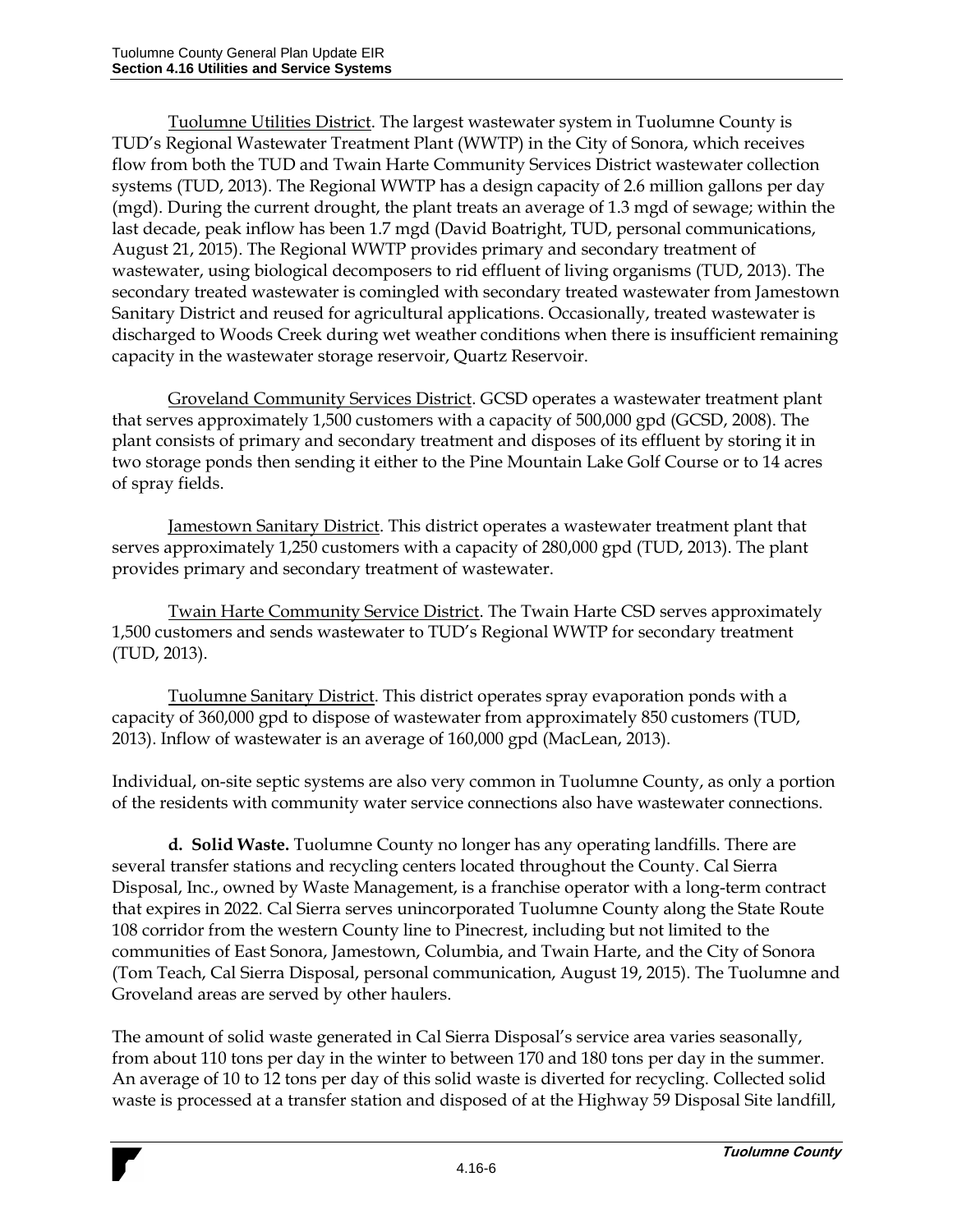Tuolumne Utilities District. The largest wastewater system in Tuolumne County is TUD's Regional Wastewater Treatment Plant (WWTP) in the City of Sonora, which receives flow from both the TUD and Twain Harte Community Services District wastewater collection systems (TUD, 2013). The Regional WWTP has a design capacity of 2.6 million gallons per day (mgd). During the current drought, the plant treats an average of 1.3 mgd of sewage; within the last decade, peak inflow has been 1.7 mgd (David Boatright, TUD, personal communications, August 21, 2015). The Regional WWTP provides primary and secondary treatment of wastewater, using biological decomposers to rid effluent of living organisms (TUD, 2013). The secondary treated wastewater is comingled with secondary treated wastewater from Jamestown Sanitary District and reused for agricultural applications. Occasionally, treated wastewater is discharged to Woods Creek during wet weather conditions when there is insufficient remaining capacity in the wastewater storage reservoir, Quartz Reservoir.

Groveland Community Services District. GCSD operates a wastewater treatment plant that serves approximately 1,500 customers with a capacity of 500,000 gpd (GCSD, 2008). The plant consists of primary and secondary treatment and disposes of its effluent by storing it in two storage ponds then sending it either to the Pine Mountain Lake Golf Course or to 14 acres of spray fields.

Jamestown Sanitary District. This district operates a wastewater treatment plant that serves approximately 1,250 customers with a capacity of 280,000 gpd (TUD, 2013). The plant provides primary and secondary treatment of wastewater.

Twain Harte Community Service District. The Twain Harte CSD serves approximately 1,500 customers and sends wastewater to TUD's Regional WWTP for secondary treatment (TUD, 2013).

Tuolumne Sanitary District. This district operates spray evaporation ponds with a capacity of 360,000 gpd to dispose of wastewater from approximately 850 customers (TUD, 2013). Inflow of wastewater is an average of 160,000 gpd (MacLean, 2013).

Individual, on-site septic systems are also very common in Tuolumne County, as only a portion of the residents with community water service connections also have wastewater connections.

**d. Solid Waste.** Tuolumne County no longer has any operating landfills. There are several transfer stations and recycling centers located throughout the County. Cal Sierra Disposal, Inc., owned by Waste Management, is a franchise operator with a long-term contract that expires in 2022. Cal Sierra serves unincorporated Tuolumne County along the State Route 108 corridor from the western County line to Pinecrest, including but not limited to the communities of East Sonora, Jamestown, Columbia, and Twain Harte, and the City of Sonora (Tom Teach, Cal Sierra Disposal, personal communication, August 19, 2015). The Tuolumne and Groveland areas are served by other haulers.

The amount of solid waste generated in Cal Sierra Disposal's service area varies seasonally, from about 110 tons per day in the winter to between 170 and 180 tons per day in the summer. An average of 10 to 12 tons per day of this solid waste is diverted for recycling. Collected solid waste is processed at a transfer station and disposed of at the Highway 59 Disposal Site landfill,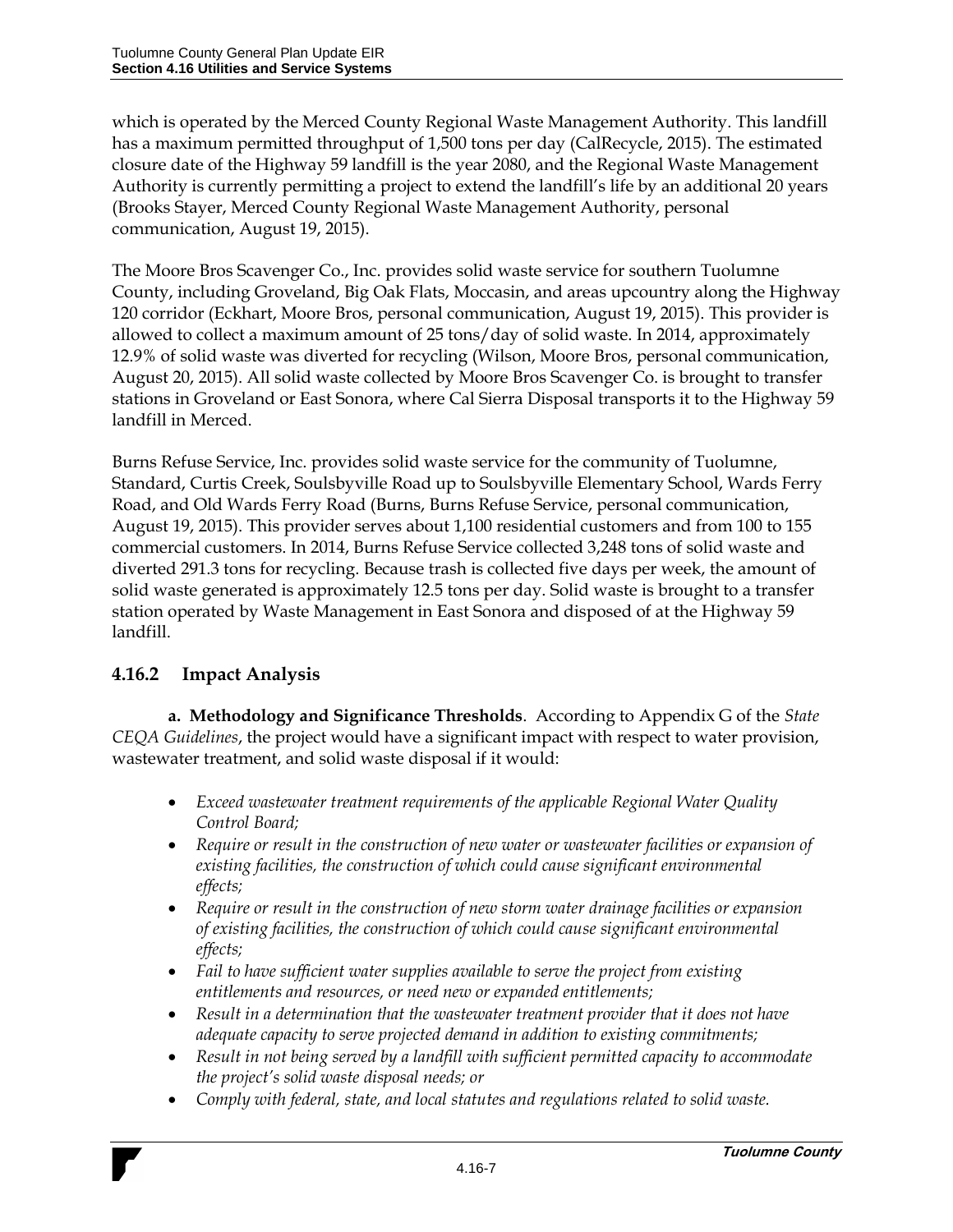which is operated by the Merced County Regional Waste Management Authority. This landfill has a maximum permitted throughput of 1,500 tons per day (CalRecycle, 2015). The estimated closure date of the Highway 59 landfill is the year 2080, and the Regional Waste Management Authority is currently permitting a project to extend the landfill's life by an additional 20 years (Brooks Stayer, Merced County Regional Waste Management Authority, personal communication, August 19, 2015).

The Moore Bros Scavenger Co., Inc. provides solid waste service for southern Tuolumne County, including Groveland, Big Oak Flats, Moccasin, and areas upcountry along the Highway 120 corridor (Eckhart, Moore Bros, personal communication, August 19, 2015). This provider is allowed to collect a maximum amount of 25 tons/day of solid waste. In 2014, approximately 12.9% of solid waste was diverted for recycling (Wilson, Moore Bros, personal communication, August 20, 2015). All solid waste collected by Moore Bros Scavenger Co. is brought to transfer stations in Groveland or East Sonora, where Cal Sierra Disposal transports it to the Highway 59 landfill in Merced.

Burns Refuse Service, Inc. provides solid waste service for the community of Tuolumne, Standard, Curtis Creek, Soulsbyville Road up to Soulsbyville Elementary School, Wards Ferry Road, and Old Wards Ferry Road (Burns, Burns Refuse Service, personal communication, August 19, 2015). This provider serves about 1,100 residential customers and from 100 to 155 commercial customers. In 2014, Burns Refuse Service collected 3,248 tons of solid waste and diverted 291.3 tons for recycling. Because trash is collected five days per week, the amount of solid waste generated is approximately 12.5 tons per day. Solid waste is brought to a transfer station operated by Waste Management in East Sonora and disposed of at the Highway 59 landfill.

## **4.16.2 Impact Analysis**

**a. Methodology and Significance Thresholds**. According to Appendix G of the *State CEQA Guidelines*, the project would have a significant impact with respect to water provision, wastewater treatment, and solid waste disposal if it would:

- *Exceed wastewater treatment requirements of the applicable Regional Water Quality Control Board;*
- *Require or result in the construction of new water or wastewater facilities or expansion of existing facilities, the construction of which could cause significant environmental effects;*
- *Require or result in the construction of new storm water drainage facilities or expansion of existing facilities, the construction of which could cause significant environmental effects;*
- *Fail to have sufficient water supplies available to serve the project from existing entitlements and resources, or need new or expanded entitlements;*
- *Result in a determination that the wastewater treatment provider that it does not have adequate capacity to serve projected demand in addition to existing commitments;*
- *Result in not being served by a landfill with sufficient permitted capacity to accommodate the project's solid waste disposal needs; or*
- *Comply with federal, state, and local statutes and regulations related to solid waste.*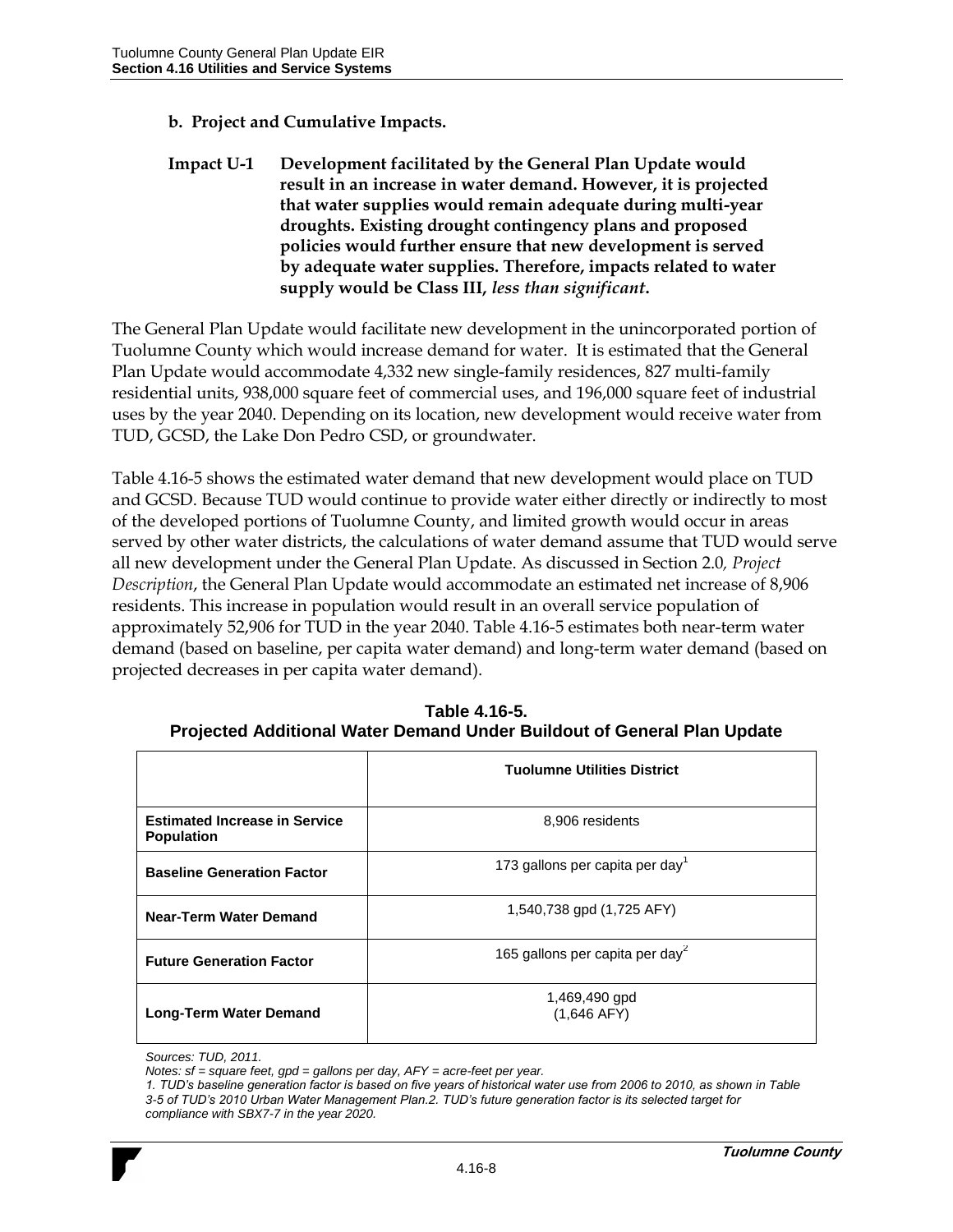#### **b. Project and Cumulative Impacts.**

**Impact U-1 Development facilitated by the General Plan Update would result in an increase in water demand. However, it is projected that water supplies would remain adequate during multi-year droughts. Existing drought contingency plans and proposed policies would further ensure that new development is served by adequate water supplies. Therefore, impacts related to water supply would be Class III,** *less than significant***.**

The General Plan Update would facilitate new development in the unincorporated portion of Tuolumne County which would increase demand for water. It is estimated that the General Plan Update would accommodate 4,332 new single-family residences, 827 multi-family residential units, 938,000 square feet of commercial uses, and 196,000 square feet of industrial uses by the year 2040. Depending on its location, new development would receive water from TUD, GCSD, the Lake Don Pedro CSD, or groundwater.

Table 4.16-5 shows the estimated water demand that new development would place on TUD and GCSD. Because TUD would continue to provide water either directly or indirectly to most of the developed portions of Tuolumne County, and limited growth would occur in areas served by other water districts, the calculations of water demand assume that TUD would serve all new development under the General Plan Update. As discussed in Section 2.0*, Project Description*, the General Plan Update would accommodate an estimated net increase of 8,906 residents. This increase in population would result in an overall service population of approximately 52,906 for TUD in the year 2040. Table 4.16-5 estimates both near-term water demand (based on baseline, per capita water demand) and long-term water demand (based on projected decreases in per capita water demand).

|                                                           | <b>Tuolumne Utilities District</b>          |
|-----------------------------------------------------------|---------------------------------------------|
| <b>Estimated Increase in Service</b><br><b>Population</b> | 8,906 residents                             |
| <b>Baseline Generation Factor</b>                         | 173 gallons per capita per day <sup>1</sup> |
| <b>Near-Term Water Demand</b>                             | 1,540,738 gpd (1,725 AFY)                   |
| <b>Future Generation Factor</b>                           | 165 gallons per capita per day <sup>2</sup> |
| <b>Long-Term Water Demand</b>                             | 1,469,490 gpd<br>$(1,646$ AFY)              |

**Table 4.16-5. Projected Additional Water Demand Under Buildout of General Plan Update**

*Sources: TUD, 2011.*

*Notes: sf = square feet, gpd = gallons per day, AFY = acre-feet per year.*

*<sup>1.</sup> TUD's baseline generation factor is based on five years of historical water use from 2006 to 2010, as shown in Table 3-5 of TUD's 2010 Urban Water Management Plan.2. TUD's future generation factor is its selected target for compliance with SBX7-7 in the year 2020.*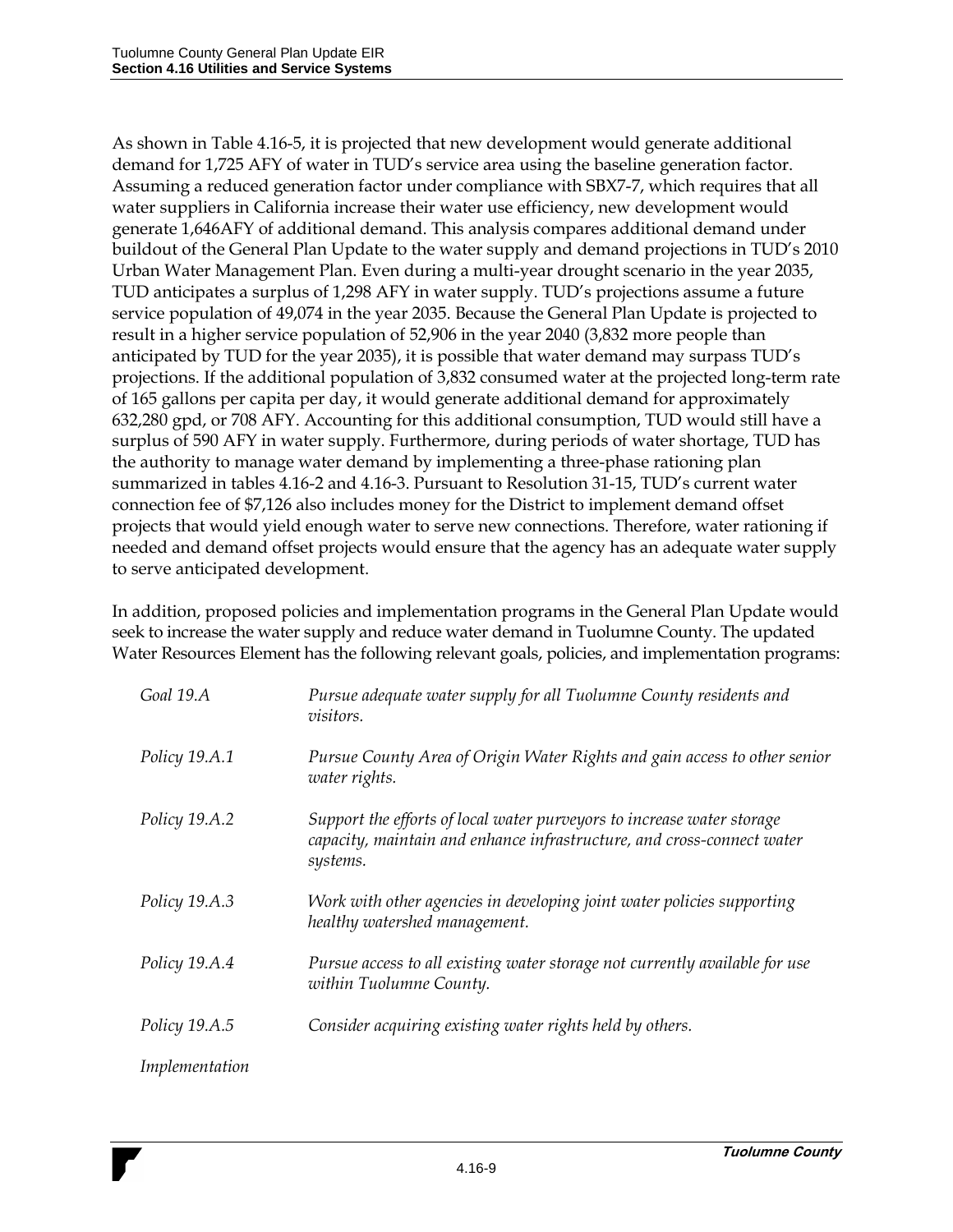As shown in Table 4.16-5, it is projected that new development would generate additional demand for 1,725 AFY of water in TUD's service area using the baseline generation factor. Assuming a reduced generation factor under compliance with SBX7-7, which requires that all water suppliers in California increase their water use efficiency, new development would generate 1,646AFY of additional demand. This analysis compares additional demand under buildout of the General Plan Update to the water supply and demand projections in TUD's 2010 Urban Water Management Plan. Even during a multi-year drought scenario in the year 2035, TUD anticipates a surplus of 1,298 AFY in water supply. TUD's projections assume a future service population of 49,074 in the year 2035. Because the General Plan Update is projected to result in a higher service population of 52,906 in the year 2040 (3,832 more people than anticipated by TUD for the year 2035), it is possible that water demand may surpass TUD's projections. If the additional population of 3,832 consumed water at the projected long-term rate of 165 gallons per capita per day, it would generate additional demand for approximately 632,280 gpd, or 708 AFY. Accounting for this additional consumption, TUD would still have a surplus of 590 AFY in water supply. Furthermore, during periods of water shortage, TUD has the authority to manage water demand by implementing a three-phase rationing plan summarized in tables 4.16-2 and 4.16-3. Pursuant to Resolution 31-15, TUD's current water connection fee of \$7,126 also includes money for the District to implement demand offset projects that would yield enough water to serve new connections. Therefore, water rationing if needed and demand offset projects would ensure that the agency has an adequate water supply to serve anticipated development.

In addition, proposed policies and implementation programs in the General Plan Update would seek to increase the water supply and reduce water demand in Tuolumne County. The updated Water Resources Element has the following relevant goals, policies, and implementation programs:

| Goal 19.A      | Pursue adequate water supply for all Tuolumne County residents and<br><i>visitors.</i>                                                                       |
|----------------|--------------------------------------------------------------------------------------------------------------------------------------------------------------|
| Policy 19.A.1  | Pursue County Area of Origin Water Rights and gain access to other senior<br>water rights.                                                                   |
| Policy 19.A.2  | Support the efforts of local water purveyors to increase water storage<br>capacity, maintain and enhance infrastructure, and cross-connect water<br>systems. |
| Policy 19.A.3  | Work with other agencies in developing joint water policies supporting<br>healthy watershed management.                                                      |
| Policy 19.A.4  | Pursue access to all existing water storage not currently available for use<br>within Tuolumne County.                                                       |
| Policy 19.A.5  | Consider acquiring existing water rights held by others.                                                                                                     |
| Implementation |                                                                                                                                                              |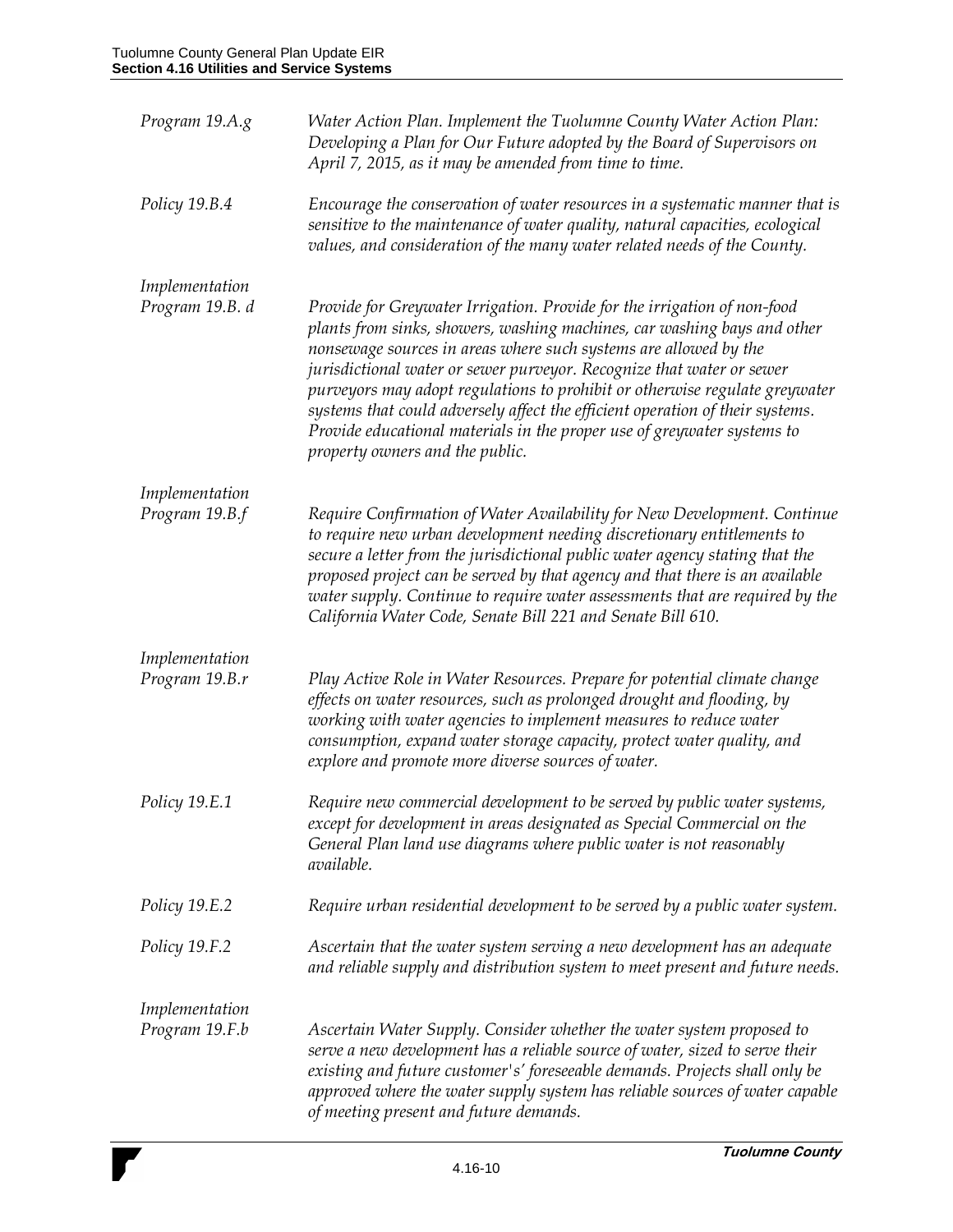| Program 19.A.g                    | Water Action Plan. Implement the Tuolumne County Water Action Plan:<br>Developing a Plan for Our Future adopted by the Board of Supervisors on<br>April 7, 2015, as it may be amended from time to time.                                                                                                                                                                                                                                                                                                                                                                        |
|-----------------------------------|---------------------------------------------------------------------------------------------------------------------------------------------------------------------------------------------------------------------------------------------------------------------------------------------------------------------------------------------------------------------------------------------------------------------------------------------------------------------------------------------------------------------------------------------------------------------------------|
| Policy 19.B.4                     | Encourage the conservation of water resources in a systematic manner that is<br>sensitive to the maintenance of water quality, natural capacities, ecological<br>values, and consideration of the many water related needs of the County.                                                                                                                                                                                                                                                                                                                                       |
| Implementation<br>Program 19.B. d | Provide for Greywater Irrigation. Provide for the irrigation of non-food<br>plants from sinks, showers, washing machines, car washing bays and other<br>nonsewage sources in areas where such systems are allowed by the<br>jurisdictional water or sewer purveyor. Recognize that water or sewer<br>purveyors may adopt regulations to prohibit or otherwise regulate greywater<br>systems that could adversely affect the efficient operation of their systems.<br>Provide educational materials in the proper use of greywater systems to<br>property owners and the public. |
| Implementation<br>Program 19.B.f  | Require Confirmation of Water Availability for New Development. Continue<br>to require new urban development needing discretionary entitlements to<br>secure a letter from the jurisdictional public water agency stating that the<br>proposed project can be served by that agency and that there is an available<br>water supply. Continue to require water assessments that are required by the<br>California Water Code, Senate Bill 221 and Senate Bill 610.                                                                                                               |
| Implementation<br>Program 19.B.r  | Play Active Role in Water Resources. Prepare for potential climate change<br>effects on water resources, such as prolonged drought and flooding, by<br>working with water agencies to implement measures to reduce water<br>consumption, expand water storage capacity, protect water quality, and<br>explore and promote more diverse sources of water.                                                                                                                                                                                                                        |
| Policy 19.E.1                     | Require new commercial development to be served by public water systems,<br>except for development in areas designated as Special Commercial on the<br>General Plan land use diagrams where public water is not reasonably<br>available.                                                                                                                                                                                                                                                                                                                                        |
| Policy 19.E.2                     | Require urban residential development to be served by a public water system.                                                                                                                                                                                                                                                                                                                                                                                                                                                                                                    |
| Policy 19.F.2                     | Ascertain that the water system serving a new development has an adequate<br>and reliable supply and distribution system to meet present and future needs.                                                                                                                                                                                                                                                                                                                                                                                                                      |
| Implementation<br>Program 19.F.b  | Ascertain Water Supply. Consider whether the water system proposed to<br>serve a new development has a reliable source of water, sized to serve their<br>existing and future customer's' foreseeable demands. Projects shall only be<br>approved where the water supply system has reliable sources of water capable<br>of meeting present and future demands.                                                                                                                                                                                                                  |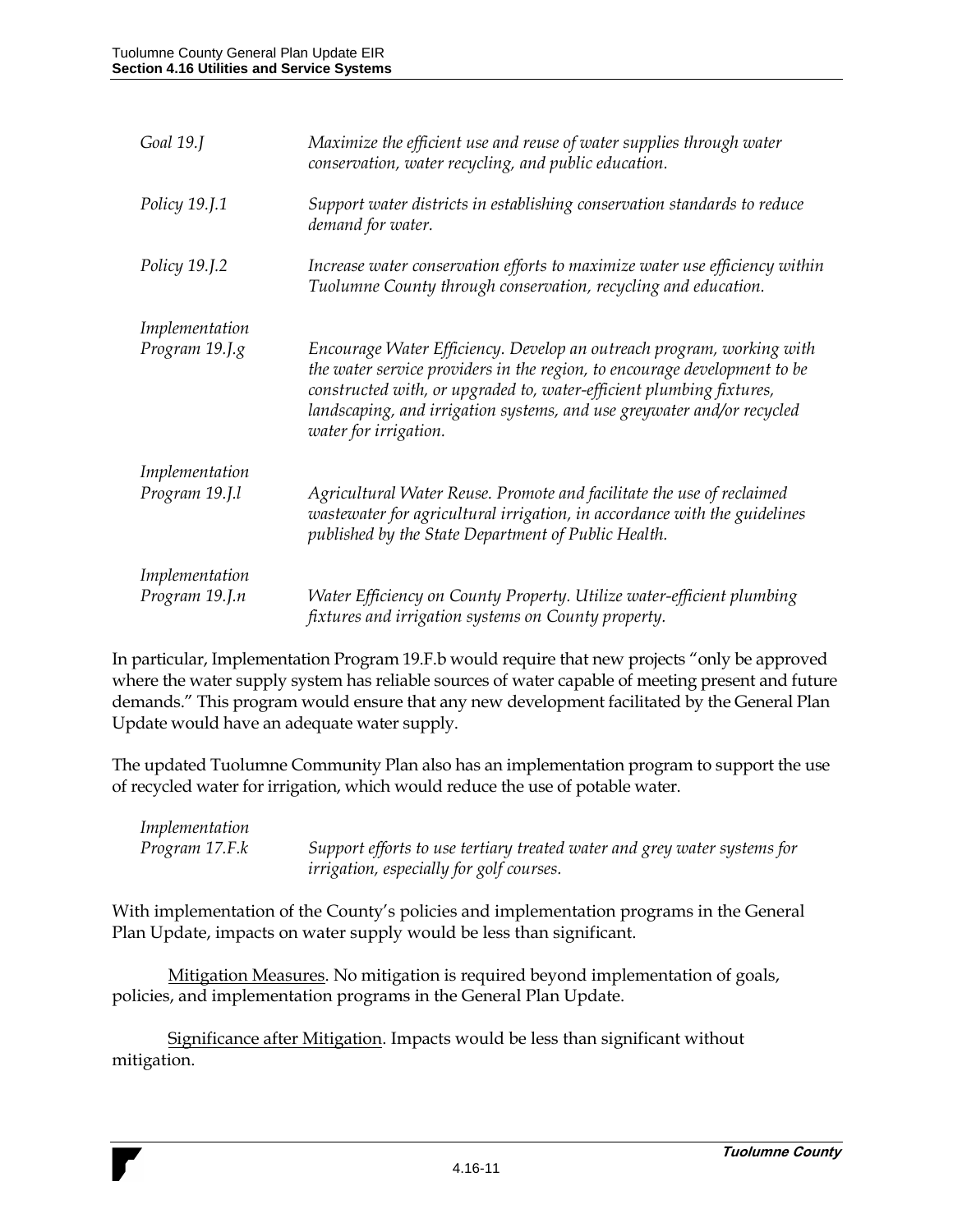| Goal 19.J                        | Maximize the efficient use and reuse of water supplies through water<br>conservation, water recycling, and public education.                                                                                                                                                                                                  |
|----------------------------------|-------------------------------------------------------------------------------------------------------------------------------------------------------------------------------------------------------------------------------------------------------------------------------------------------------------------------------|
| Policy 19.J.1                    | Support water districts in establishing conservation standards to reduce<br>demand for water.                                                                                                                                                                                                                                 |
| Policy 19.J.2                    | Increase water conservation efforts to maximize water use efficiency within<br>Tuolumne County through conservation, recycling and education.                                                                                                                                                                                 |
| Implementation                   |                                                                                                                                                                                                                                                                                                                               |
| Program 19.J.g                   | Encourage Water Efficiency. Develop an outreach program, working with<br>the water service providers in the region, to encourage development to be<br>constructed with, or upgraded to, water-efficient plumbing fixtures,<br>landscaping, and irrigation systems, and use greywater and/or recycled<br>water for irrigation. |
| Implementation                   |                                                                                                                                                                                                                                                                                                                               |
| Program 19.J.l                   | Agricultural Water Reuse. Promote and facilitate the use of reclaimed<br>wastewater for agricultural irrigation, in accordance with the guidelines<br>published by the State Department of Public Health.                                                                                                                     |
| Implementation<br>Program 19.J.n | Water Efficiency on County Property. Utilize water-efficient plumbing<br>fixtures and irrigation systems on County property.                                                                                                                                                                                                  |

In particular, Implementation Program 19.F.b would require that new projects "only be approved where the water supply system has reliable sources of water capable of meeting present and future demands." This program would ensure that any new development facilitated by the General Plan Update would have an adequate water supply.

The updated Tuolumne Community Plan also has an implementation program to support the use of recycled water for irrigation, which would reduce the use of potable water.

| Implementation |                                                                          |
|----------------|--------------------------------------------------------------------------|
| Program 17.F.k | Support efforts to use tertiary treated water and grey water systems for |
|                | <i>irrigation, especially for golf courses.</i>                          |

With implementation of the County's policies and implementation programs in the General Plan Update, impacts on water supply would be less than significant.

Mitigation Measures. No mitigation is required beyond implementation of goals, policies, and implementation programs in the General Plan Update.

Significance after Mitigation. Impacts would be less than significant without mitigation.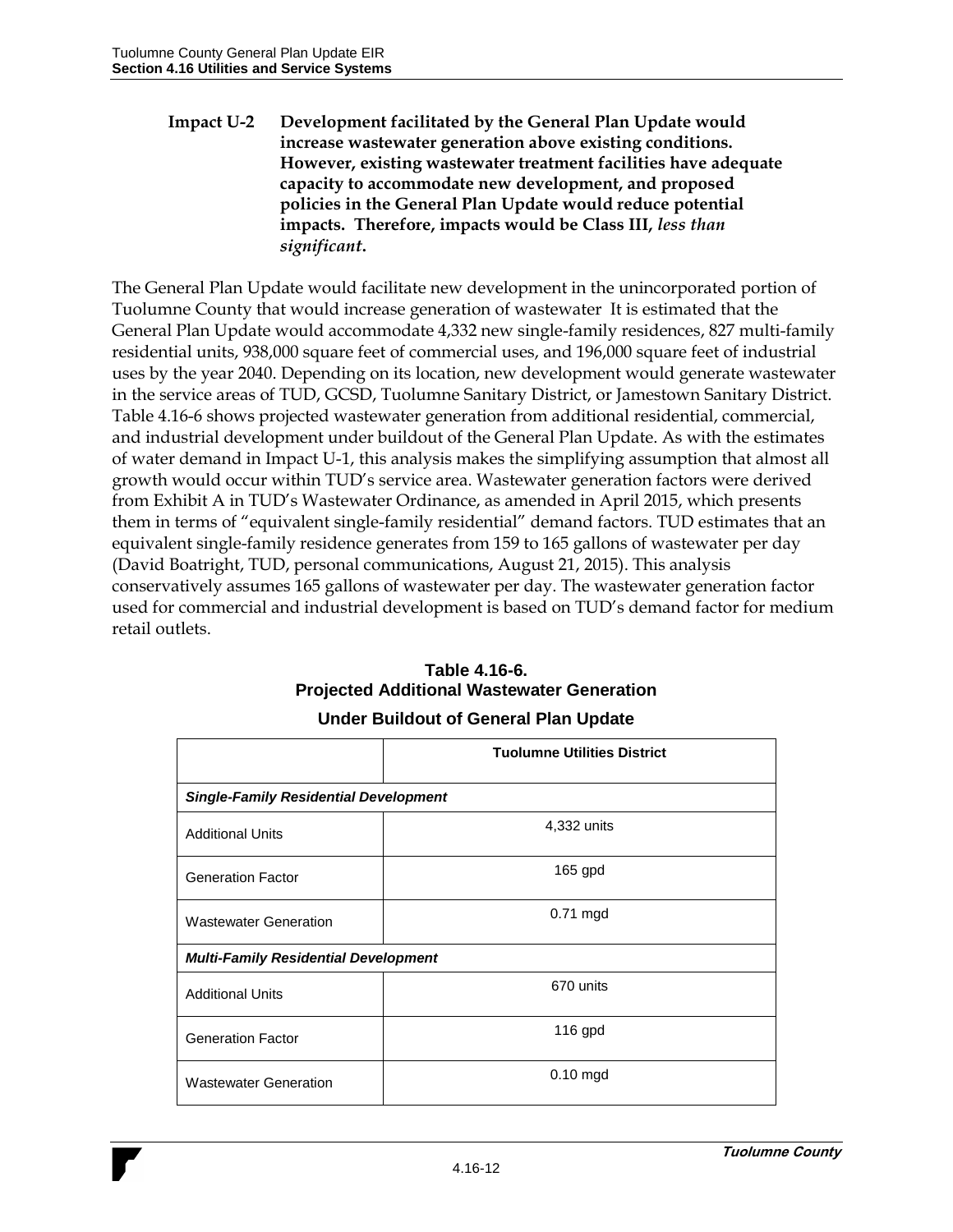#### **Impact U-2 Development facilitated by the General Plan Update would increase wastewater generation above existing conditions. However, existing wastewater treatment facilities have adequate capacity to accommodate new development, and proposed policies in the General Plan Update would reduce potential impacts. Therefore, impacts would be Class III,** *less than significant***.**

The General Plan Update would facilitate new development in the unincorporated portion of Tuolumne County that would increase generation of wastewater It is estimated that the General Plan Update would accommodate 4,332 new single-family residences, 827 multi-family residential units, 938,000 square feet of commercial uses, and 196,000 square feet of industrial uses by the year 2040. Depending on its location, new development would generate wastewater in the service areas of TUD, GCSD, Tuolumne Sanitary District, or Jamestown Sanitary District. Table 4.16-6 shows projected wastewater generation from additional residential, commercial, and industrial development under buildout of the General Plan Update. As with the estimates of water demand in Impact U-1, this analysis makes the simplifying assumption that almost all growth would occur within TUD's service area. Wastewater generation factors were derived from Exhibit A in TUD's Wastewater Ordinance, as amended in April 2015, which presents them in terms of "equivalent single-family residential" demand factors. TUD estimates that an equivalent single-family residence generates from 159 to 165 gallons of wastewater per day (David Boatright, TUD, personal communications, August 21, 2015). This analysis conservatively assumes 165 gallons of wastewater per day. The wastewater generation factor used for commercial and industrial development is based on TUD's demand factor for medium retail outlets.

## **Table 4.16-6. Projected Additional Wastewater Generation Under Buildout of General Plan Update**

|                                              | <b>Tuolumne Utilities District</b> |
|----------------------------------------------|------------------------------------|
| <b>Single-Family Residential Development</b> |                                    |
| <b>Additional Units</b>                      | 4,332 units                        |
| <b>Generation Factor</b>                     | $165$ gpd                          |
| <b>Wastewater Generation</b>                 | $0.71$ mgd                         |
| <b>Multi-Family Residential Development</b>  |                                    |
| <b>Additional Units</b>                      | 670 units                          |
| <b>Generation Factor</b>                     | $116$ gpd                          |
| <b>Wastewater Generation</b>                 | $0.10$ mgd                         |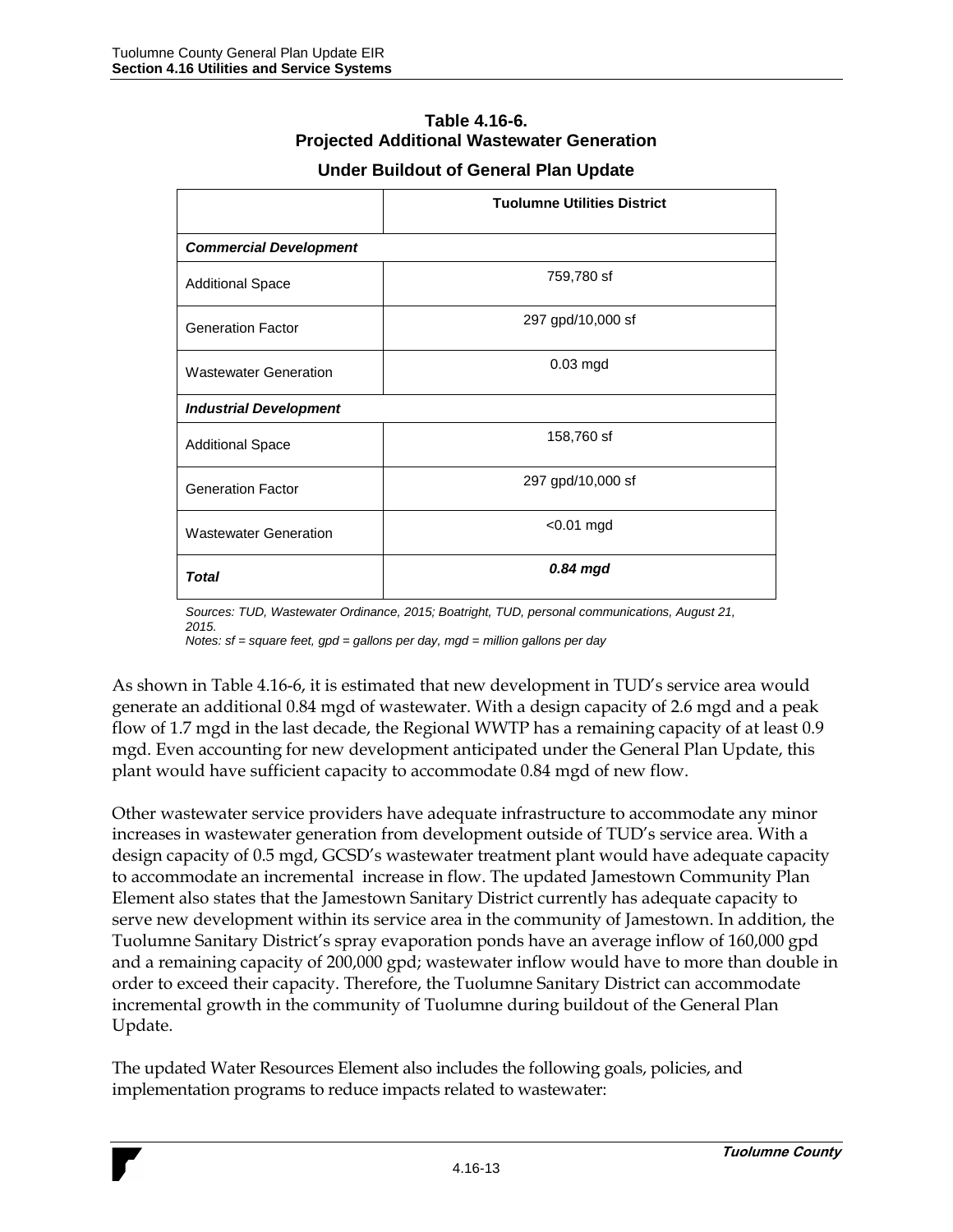## **Table 4.16-6. Projected Additional Wastewater Generation**

|                               | <b>Tuolumne Utilities District</b> |
|-------------------------------|------------------------------------|
|                               |                                    |
| <b>Commercial Development</b> |                                    |
| <b>Additional Space</b>       | 759,780 sf                         |
| <b>Generation Factor</b>      | 297 gpd/10,000 sf                  |
| <b>Wastewater Generation</b>  | $0.03$ mgd                         |
| <b>Industrial Development</b> |                                    |
| <b>Additional Space</b>       | 158,760 sf                         |
| <b>Generation Factor</b>      | 297 gpd/10,000 sf                  |
| <b>Wastewater Generation</b>  | $<$ 0.01 mgd                       |
| <b>Total</b>                  | $0.84$ mgd                         |

#### **Under Buildout of General Plan Update**

*Sources: TUD, Wastewater Ordinance, 2015; Boatright, TUD, personal communications, August 21, 2015.*

*Notes: sf = square feet, gpd = gallons per day, mgd = million gallons per day*

As shown in Table 4.16-6, it is estimated that new development in TUD's service area would generate an additional 0.84 mgd of wastewater. With a design capacity of 2.6 mgd and a peak flow of 1.7 mgd in the last decade, the Regional WWTP has a remaining capacity of at least 0.9 mgd. Even accounting for new development anticipated under the General Plan Update, this plant would have sufficient capacity to accommodate 0.84 mgd of new flow.

Other wastewater service providers have adequate infrastructure to accommodate any minor increases in wastewater generation from development outside of TUD's service area. With a design capacity of 0.5 mgd, GCSD's wastewater treatment plant would have adequate capacity to accommodate an incremental increase in flow. The updated Jamestown Community Plan Element also states that the Jamestown Sanitary District currently has adequate capacity to serve new development within its service area in the community of Jamestown. In addition, the Tuolumne Sanitary District's spray evaporation ponds have an average inflow of 160,000 gpd and a remaining capacity of 200,000 gpd; wastewater inflow would have to more than double in order to exceed their capacity. Therefore, the Tuolumne Sanitary District can accommodate incremental growth in the community of Tuolumne during buildout of the General Plan Update.

The updated Water Resources Element also includes the following goals, policies, and implementation programs to reduce impacts related to wastewater: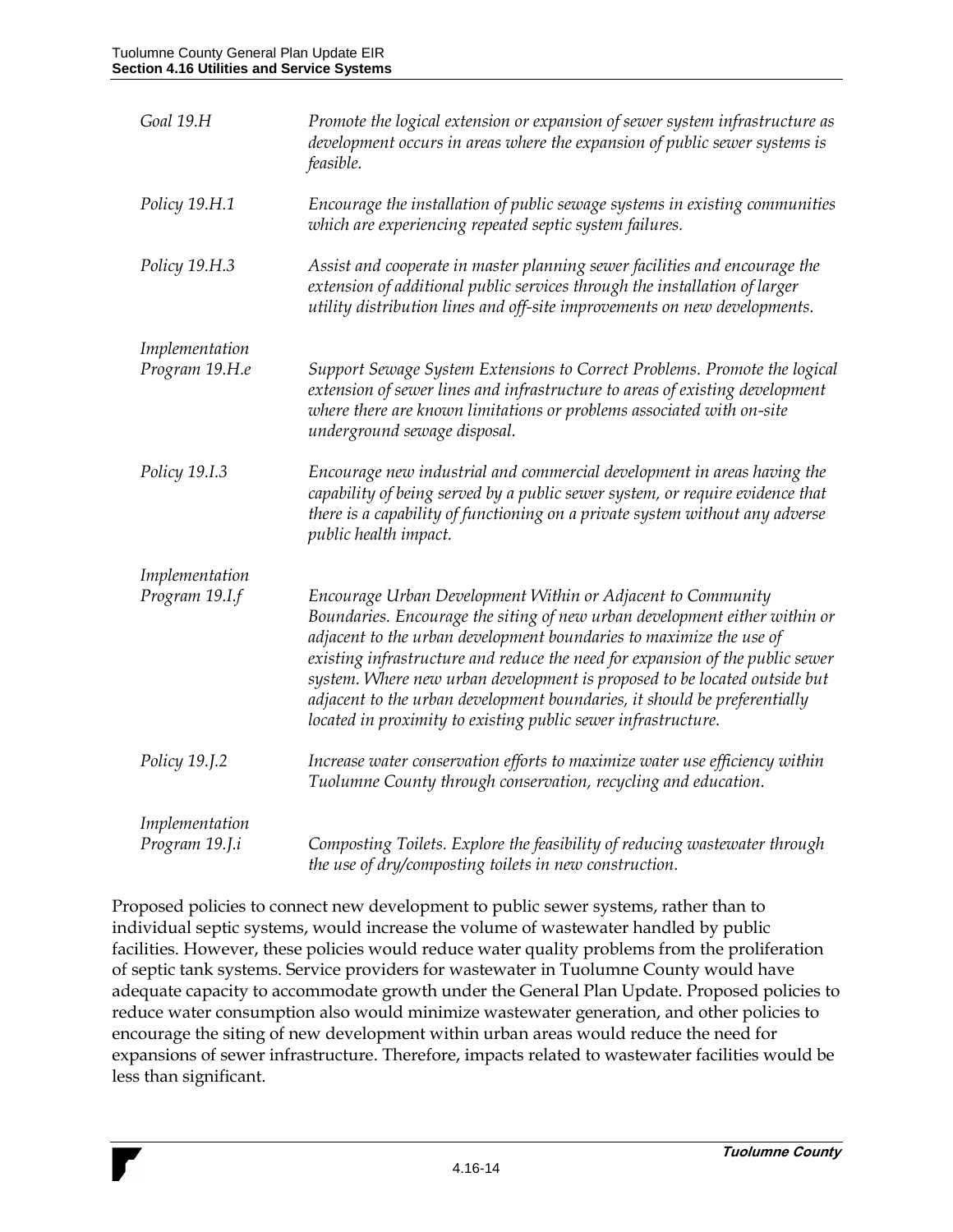| Goal 19.H                        | Promote the logical extension or expansion of sewer system infrastructure as<br>development occurs in areas where the expansion of public sewer systems is<br>feasible.                                                                                                                                                                                                                                                                                                                                                      |
|----------------------------------|------------------------------------------------------------------------------------------------------------------------------------------------------------------------------------------------------------------------------------------------------------------------------------------------------------------------------------------------------------------------------------------------------------------------------------------------------------------------------------------------------------------------------|
| Policy 19.H.1                    | Encourage the installation of public sewage systems in existing communities<br>which are experiencing repeated septic system failures.                                                                                                                                                                                                                                                                                                                                                                                       |
| Policy 19.H.3                    | Assist and cooperate in master planning sewer facilities and encourage the<br>extension of additional public services through the installation of larger<br>utility distribution lines and off-site improvements on new developments.                                                                                                                                                                                                                                                                                        |
| Implementation<br>Program 19.H.e | Support Sewage System Extensions to Correct Problems. Promote the logical                                                                                                                                                                                                                                                                                                                                                                                                                                                    |
|                                  | extension of sewer lines and infrastructure to areas of existing development<br>where there are known limitations or problems associated with on-site<br>underground sewage disposal.                                                                                                                                                                                                                                                                                                                                        |
| Policy 19.I.3                    | Encourage new industrial and commercial development in areas having the<br>capability of being served by a public sewer system, or require evidence that<br>there is a capability of functioning on a private system without any adverse<br>public health impact.                                                                                                                                                                                                                                                            |
| Implementation                   |                                                                                                                                                                                                                                                                                                                                                                                                                                                                                                                              |
| Program 19.I.f                   | Encourage Urban Development Within or Adjacent to Community<br>Boundaries. Encourage the siting of new urban development either within or<br>adjacent to the urban development boundaries to maximize the use of<br>existing infrastructure and reduce the need for expansion of the public sewer<br>system. Where new urban development is proposed to be located outside but<br>adjacent to the urban development boundaries, it should be preferentially<br>located in proximity to existing public sewer infrastructure. |
| Policy 19.J.2                    | Increase water conservation efforts to maximize water use efficiency within<br>Tuolumne County through conservation, recycling and education.                                                                                                                                                                                                                                                                                                                                                                                |
| Implementation<br>Program 19.J.i | Composting Toilets. Explore the feasibility of reducing wastewater through<br>the use of dry/composting toilets in new construction.                                                                                                                                                                                                                                                                                                                                                                                         |

Proposed policies to connect new development to public sewer systems, rather than to individual septic systems, would increase the volume of wastewater handled by public facilities. However, these policies would reduce water quality problems from the proliferation of septic tank systems. Service providers for wastewater in Tuolumne County would have adequate capacity to accommodate growth under the General Plan Update. Proposed policies to reduce water consumption also would minimize wastewater generation, and other policies to encourage the siting of new development within urban areas would reduce the need for expansions of sewer infrastructure. Therefore, impacts related to wastewater facilities would be less than significant.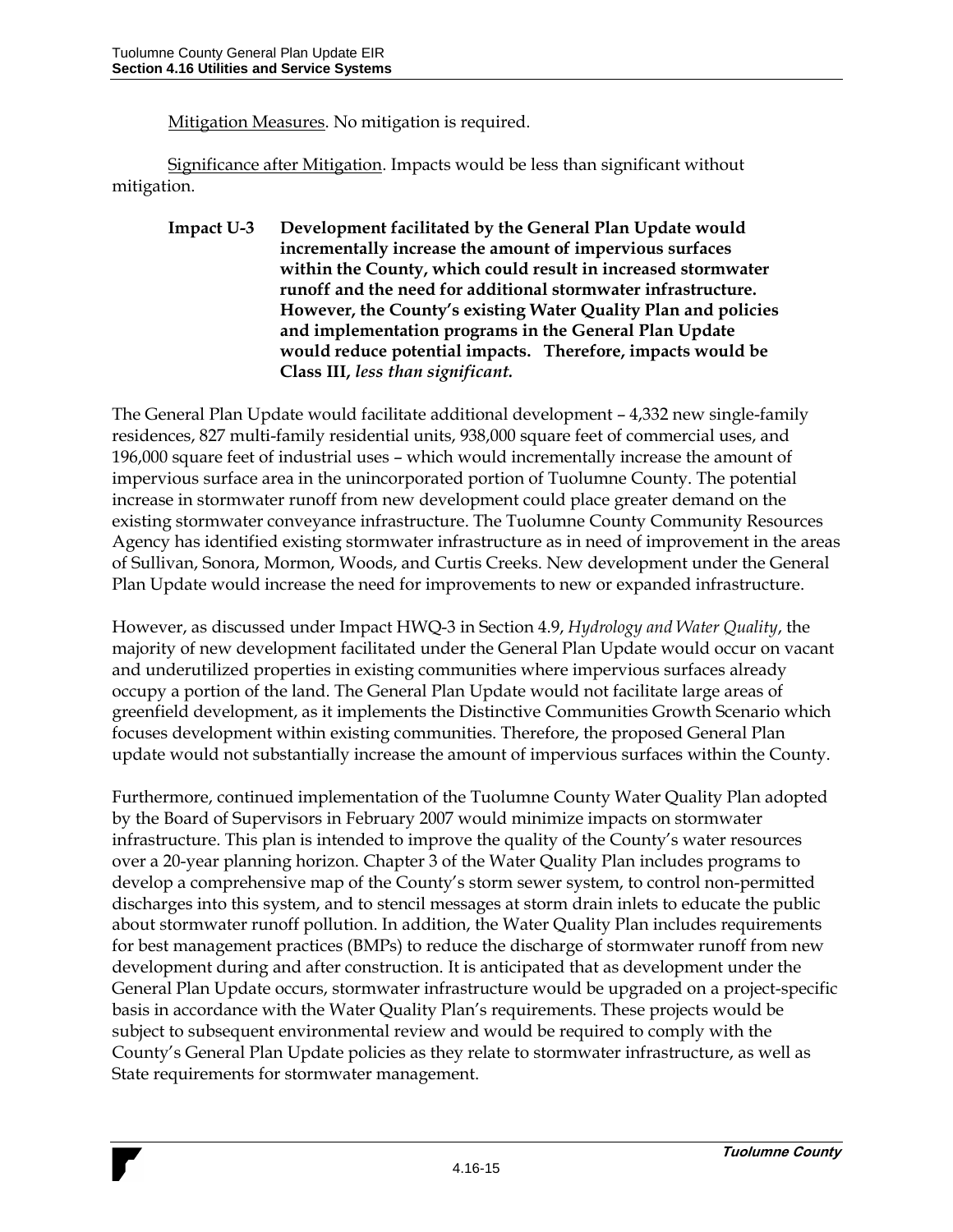Mitigation Measures. No mitigation is required.

Significance after Mitigation. Impacts would be less than significant without mitigation.

**Impact U-3 Development facilitated by the General Plan Update would incrementally increase the amount of impervious surfaces within the County, which could result in increased stormwater runoff and the need for additional stormwater infrastructure. However, the County's existing Water Quality Plan and policies and implementation programs in the General Plan Update would reduce potential impacts. Therefore, impacts would be Class III,** *less than significant.*

The General Plan Update would facilitate additional development – 4,332 new single-family residences, 827 multi-family residential units, 938,000 square feet of commercial uses, and 196,000 square feet of industrial uses – which would incrementally increase the amount of impervious surface area in the unincorporated portion of Tuolumne County. The potential increase in stormwater runoff from new development could place greater demand on the existing stormwater conveyance infrastructure. The Tuolumne County Community Resources Agency has identified existing stormwater infrastructure as in need of improvement in the areas of Sullivan, Sonora, Mormon, Woods, and Curtis Creeks. New development under the General Plan Update would increase the need for improvements to new or expanded infrastructure.

However, as discussed under Impact HWQ-3 in Section 4.9, *Hydrology and Water Quality*, the majority of new development facilitated under the General Plan Update would occur on vacant and underutilized properties in existing communities where impervious surfaces already occupy a portion of the land. The General Plan Update would not facilitate large areas of greenfield development, as it implements the Distinctive Communities Growth Scenario which focuses development within existing communities. Therefore, the proposed General Plan update would not substantially increase the amount of impervious surfaces within the County.

Furthermore, continued implementation of the Tuolumne County Water Quality Plan adopted by the Board of Supervisors in February 2007 would minimize impacts on stormwater infrastructure. This plan is intended to improve the quality of the County's water resources over a 20-year planning horizon. Chapter 3 of the Water Quality Plan includes programs to develop a comprehensive map of the County's storm sewer system, to control non-permitted discharges into this system, and to stencil messages at storm drain inlets to educate the public about stormwater runoff pollution. In addition, the Water Quality Plan includes requirements for best management practices (BMPs) to reduce the discharge of stormwater runoff from new development during and after construction. It is anticipated that as development under the General Plan Update occurs, stormwater infrastructure would be upgraded on a project-specific basis in accordance with the Water Quality Plan's requirements. These projects would be subject to subsequent environmental review and would be required to comply with the County's General Plan Update policies as they relate to stormwater infrastructure, as well as State requirements for stormwater management.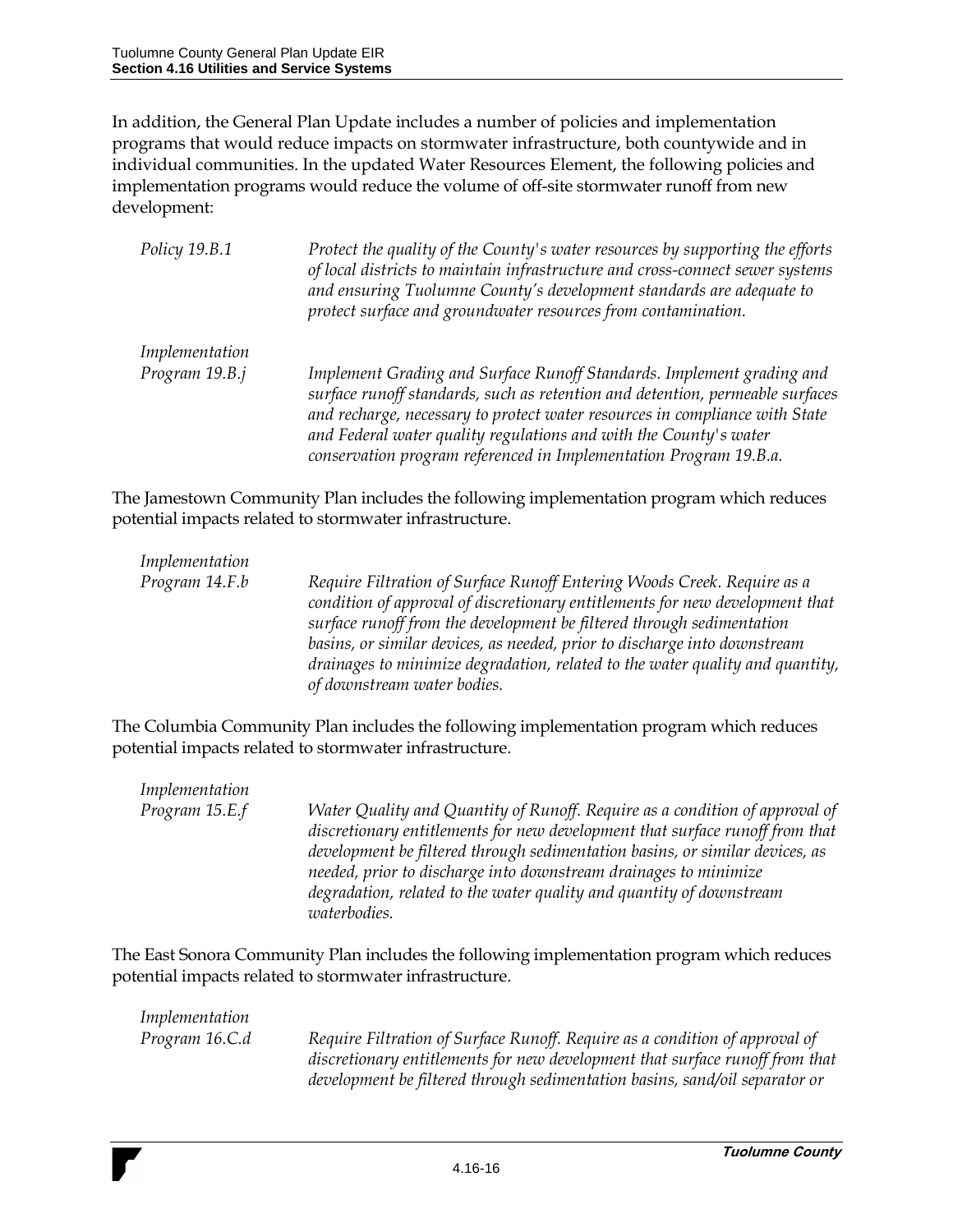In addition, the General Plan Update includes a number of policies and implementation programs that would reduce impacts on stormwater infrastructure, both countywide and in individual communities. In the updated Water Resources Element, the following policies and implementation programs would reduce the volume of off-site stormwater runoff from new development:

| Policy 19.B.1  | Protect the quality of the County's water resources by supporting the efforts<br>of local districts to maintain infrastructure and cross-connect sewer systems<br>and ensuring Tuolumne County's development standards are adequate to<br>protect surface and groundwater resources from contamination.                                                                         |
|----------------|---------------------------------------------------------------------------------------------------------------------------------------------------------------------------------------------------------------------------------------------------------------------------------------------------------------------------------------------------------------------------------|
| Implementation |                                                                                                                                                                                                                                                                                                                                                                                 |
| Program 19.B.j | Implement Grading and Surface Runoff Standards. Implement grading and<br>surface runoff standards, such as retention and detention, permeable surfaces<br>and recharge, necessary to protect water resources in compliance with State<br>and Federal water quality regulations and with the County's water<br>conservation program referenced in Implementation Program 19.B.a. |

The Jamestown Community Plan includes the following implementation program which reduces potential impacts related to stormwater infrastructure.

| Require Filtration of Surface Runoff Entering Woods Creek. Require as a<br>Program 14.F.b<br>condition of approval of discretionary entitlements for new development that<br>surface runoff from the development be filtered through sedimentation<br>basins, or similar devices, as needed, prior to discharge into downstream<br>drainages to minimize degradation, related to the water quality and quantity,<br>of downstream water bodies. |  |
|-------------------------------------------------------------------------------------------------------------------------------------------------------------------------------------------------------------------------------------------------------------------------------------------------------------------------------------------------------------------------------------------------------------------------------------------------|--|

The Columbia Community Plan includes the following implementation program which reduces potential impacts related to stormwater infrastructure.

| Implementation |                                                                                                                                                                                                                                                                                                                                                                                                         |
|----------------|---------------------------------------------------------------------------------------------------------------------------------------------------------------------------------------------------------------------------------------------------------------------------------------------------------------------------------------------------------------------------------------------------------|
| Program 15.E.f | Water Quality and Quantity of Runoff. Require as a condition of approval of<br>discretionary entitlements for new development that surface runoff from that<br>development be filtered through sedimentation basins, or similar devices, as<br>needed, prior to discharge into downstream drainages to minimize<br>degradation, related to the water quality and quantity of downstream<br>waterbodies. |

The East Sonora Community Plan includes the following implementation program which reduces potential impacts related to stormwater infrastructure.

| Implementation |                                                                              |
|----------------|------------------------------------------------------------------------------|
| Program 16.C.d | Require Filtration of Surface Runoff. Require as a condition of approval of  |
|                | discretionary entitlements for new development that surface runoff from that |
|                | development be filtered through sedimentation basins, sand/oil separator or  |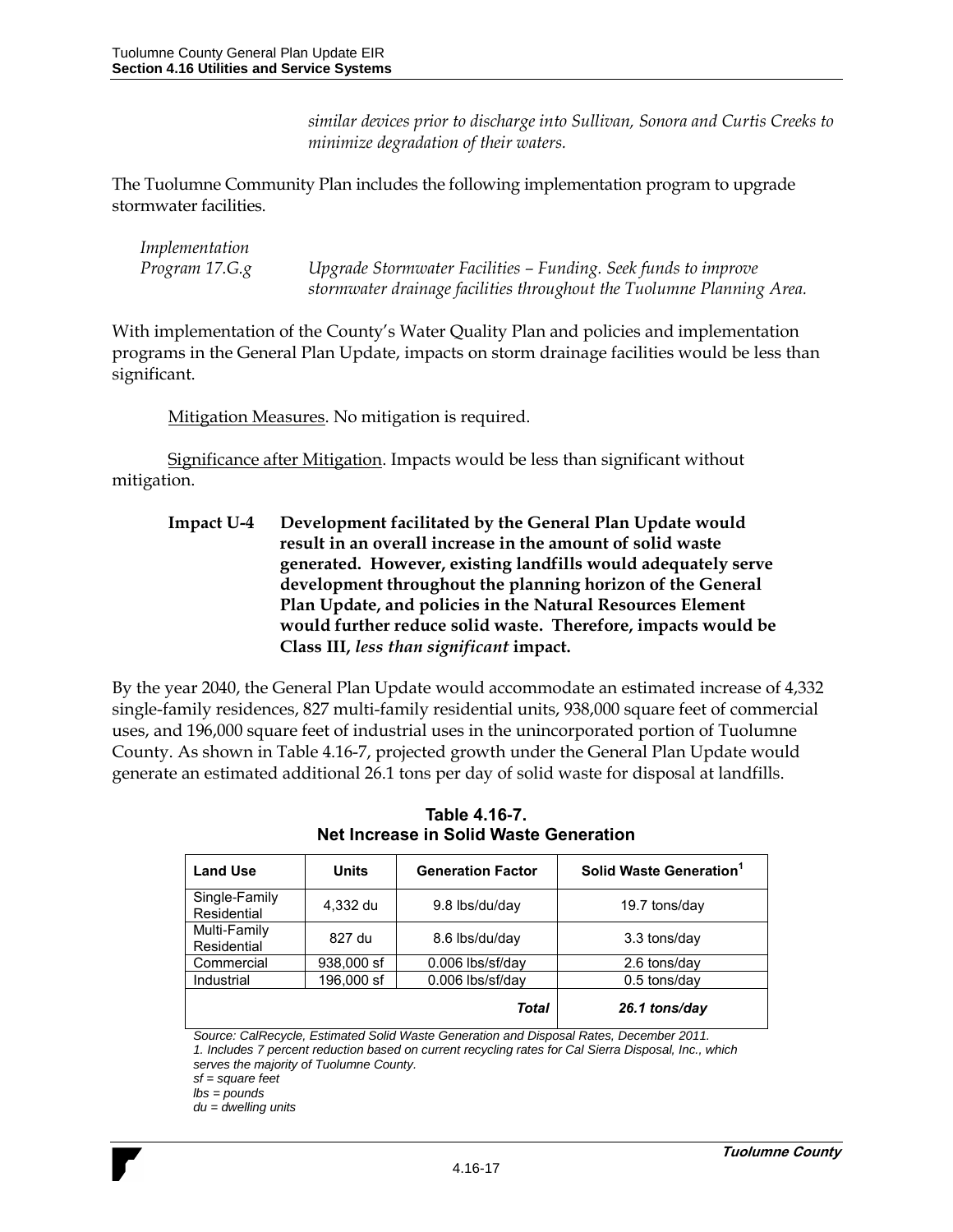*similar devices prior to discharge into Sullivan, Sonora and Curtis Creeks to minimize degradation of their waters.*

The Tuolumne Community Plan includes the following implementation program to upgrade stormwater facilities.

| Implementation |                                                                       |
|----------------|-----------------------------------------------------------------------|
| Program 17.G.g | Upgrade Stormwater Facilities – Funding. Seek funds to improve        |
|                | stormwater drainage facilities throughout the Tuolumne Planning Area. |

With implementation of the County's Water Quality Plan and policies and implementation programs in the General Plan Update, impacts on storm drainage facilities would be less than significant.

Mitigation Measures. No mitigation is required.

Significance after Mitigation. Impacts would be less than significant without mitigation.

**Impact U-4 Development facilitated by the General Plan Update would result in an overall increase in the amount of solid waste generated. However, existing landfills would adequately serve development throughout the planning horizon of the General Plan Update, and policies in the Natural Resources Element would further reduce solid waste. Therefore, impacts would be Class III,** *less than significant* **impact.**

By the year 2040, the General Plan Update would accommodate an estimated increase of 4,332 single-family residences, 827 multi-family residential units, 938,000 square feet of commercial uses, and 196,000 square feet of industrial uses in the unincorporated portion of Tuolumne County. As shown in Table 4.16-7, projected growth under the General Plan Update would generate an estimated additional 26.1 tons per day of solid waste for disposal at landfills.

| <b>Land Use</b>              | <b>Units</b> | <b>Generation Factor</b> | Solid Waste Generation <sup>1</sup> |
|------------------------------|--------------|--------------------------|-------------------------------------|
| Single-Family<br>Residential | 4,332 du     | 9.8 lbs/du/day           | 19.7 tons/day                       |
| Multi-Family<br>Residential  | 827 du       | 8.6 lbs/du/day           | 3.3 tons/day                        |
| Commercial                   | 938,000 sf   | $0.006$ lbs/sf/day       | 2.6 tons/day                        |
| Industrial                   | 196,000 sf   | 0.006 lbs/sf/day         | 0.5 tons/day                        |
|                              |              | <b>Total</b>             | 26.1 tons/day                       |

**Table 4.16-7. Net Increase in Solid Waste Generation**

*Source: CalRecycle, Estimated Solid Waste Generation and Disposal Rates, December 2011. 1. Includes 7 percent reduction based on current recycling rates for Cal Sierra Disposal, Inc., which serves the majority of Tuolumne County.*

*sf = square feet* 

*lbs = pounds* 

*du = dwelling units*